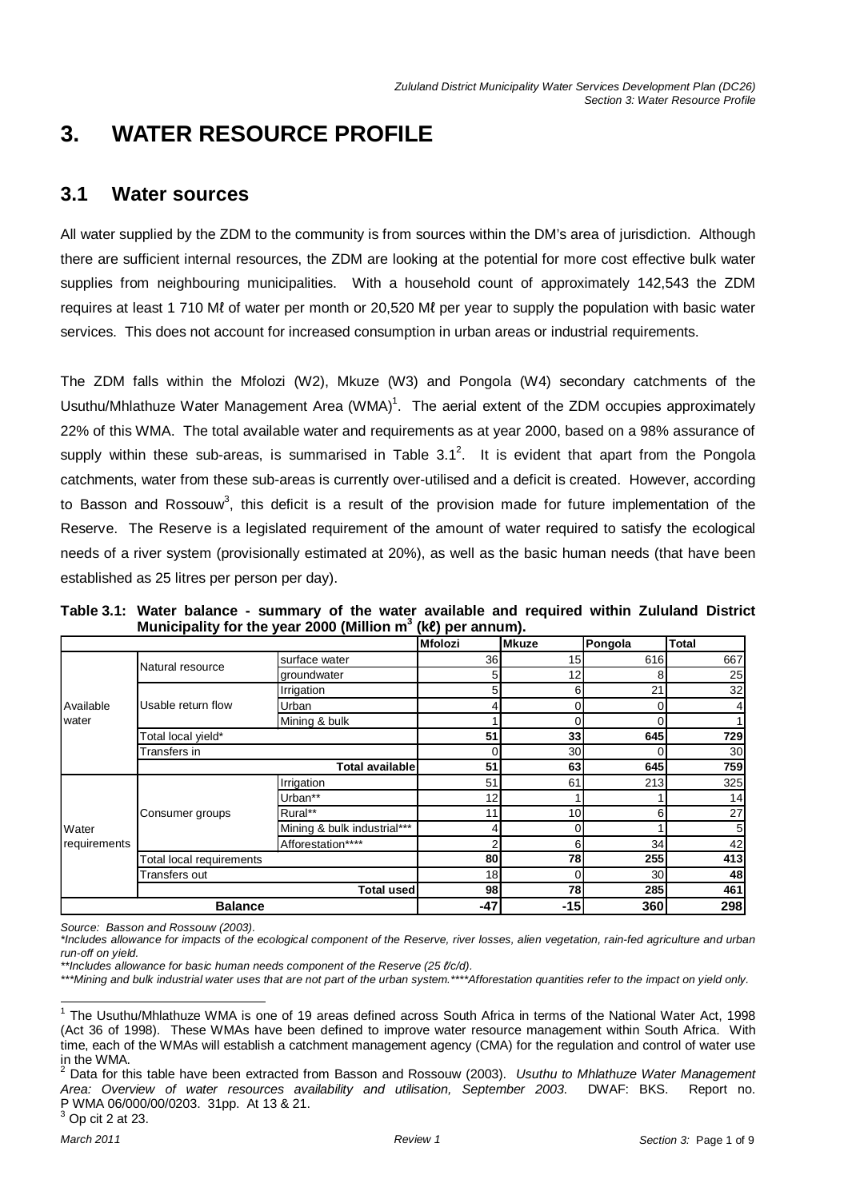# **3. WATER RESOURCE PROFILE**

# **3.1 Water sources**

All water supplied by the ZDM to the community is from sources within the DM's area of jurisdiction. Although there are sufficient internal resources, the ZDM are looking at the potential for more cost effective bulk water supplies from neighbouring municipalities. With a household count of approximately 142,543 the ZDM requires at least 1 710 Mℓ of water per month or 20,520 Mℓ per year to supply the population with basic water services. This does not account for increased consumption in urban areas or industrial requirements.

The ZDM falls within the Mfolozi (W2), Mkuze (W3) and Pongola (W4) secondary catchments of the Usuthu/Mhlathuze Water Management Area (WMA)<sup>1</sup>. The aerial extent of the ZDM occupies approximately 22% of this WMA. The total available water and requirements as at year 2000, based on a 98% assurance of supply within these sub-areas, is summarised in Table 3.1<sup>2</sup>. It is evident that apart from the Pongola catchments, water from these sub-areas is currently over-utilised and a deficit is created. However, according to Basson and Rossouw<sup>3</sup>, this deficit is a result of the provision made for future implementation of the Reserve. The Reserve is a legislated requirement of the amount of water required to satisfy the ecological needs of a river system (provisionally estimated at 20%), as well as the basic human needs (that have been established as 25 litres per person per day).

| Table 3.1: Water balance - summary of the water available and required within Zululand District |  |  |  |  |  |
|-------------------------------------------------------------------------------------------------|--|--|--|--|--|
| Municipality for the year 2000 (Million $m^3$ (ke) per annum).                                  |  |  |  |  |  |

|              |                          |                             | <b>Mfolozi</b> | <b>Mkuze</b>    | Pongola | <b>Total</b>    |
|--------------|--------------------------|-----------------------------|----------------|-----------------|---------|-----------------|
|              |                          | surface water               | 36             | 15              | 616     | 667             |
|              | Natural resource         | groundwater                 | 51             | 12              | 8       | 25              |
|              |                          | Irrigation                  | 5              | $6 \mid$        | 21      | 32              |
| Available    | Usable return flow       | Urban                       |                | 0               |         |                 |
| water        |                          | Mining & bulk               |                | 0               |         |                 |
|              | Total local yield*       | 51                          | 33             | 645             | 729     |                 |
|              | Transfers in             |                             | $\Omega$       | 30              |         | 30 <sub>0</sub> |
|              |                          | <b>Total available</b>      | 51             | 63              | 645     | 759             |
|              |                          | Irrigation                  | 51             | 61              | 213     | 325             |
|              | Consumer groups          | Urban**                     | 12             |                 |         | 14              |
|              |                          | Rural**                     | 11             | 10 <sup>1</sup> | 61      | 27              |
| Water        |                          | Mining & bulk industrial*** |                | $\Omega$        |         | 5 <sup>5</sup>  |
| requirements |                          | Afforestation****           |                | 6               | 34      | 42              |
|              | Total local requirements |                             | 80             | 78              | 255     | 413             |
|              | Transfers out            | 18                          | $\Omega$       | 30              | 48      |                 |
|              |                          | <b>Total used</b>           | 98             | 78              | 285     | 461             |
|              | <b>Balance</b>           |                             |                | $-15$           | 360     | 298             |

Source: Basson and Rossouw (2003).

\*Includes allowance for impacts of the ecological component of the Reserve, river losses, alien vegetation, rain-fed agriculture and urban run-off on yield.

<sup>\*\*</sup>Includes allowance for basic human needs component of the Reserve (25 l/c/d).

<sup>\*\*\*</sup>Mining and bulk industrial water uses that are not part of the urban system.\*\*\*\*Afforestation quantities refer to the impact on yield only.

 1 The Usuthu/Mhlathuze WMA is one of 19 areas defined across South Africa in terms of the National Water Act, 1998 (Act 36 of 1998). These WMAs have been defined to improve water resource management within South Africa. With time, each of the WMAs will establish a catchment management agency (CMA) for the regulation and control of water use in the WMA.

<sup>2</sup> Data for this table have been extracted from Basson and Rossouw (2003). Usuthu to Mhlathuze Water Management Area: Overview of water resources availability and utilisation, September 2003. DWAF: BKS. Report no. P WMA 06/000/00/0203. 31pp. At 13 & 21.  $3$  Op cit 2 at 23.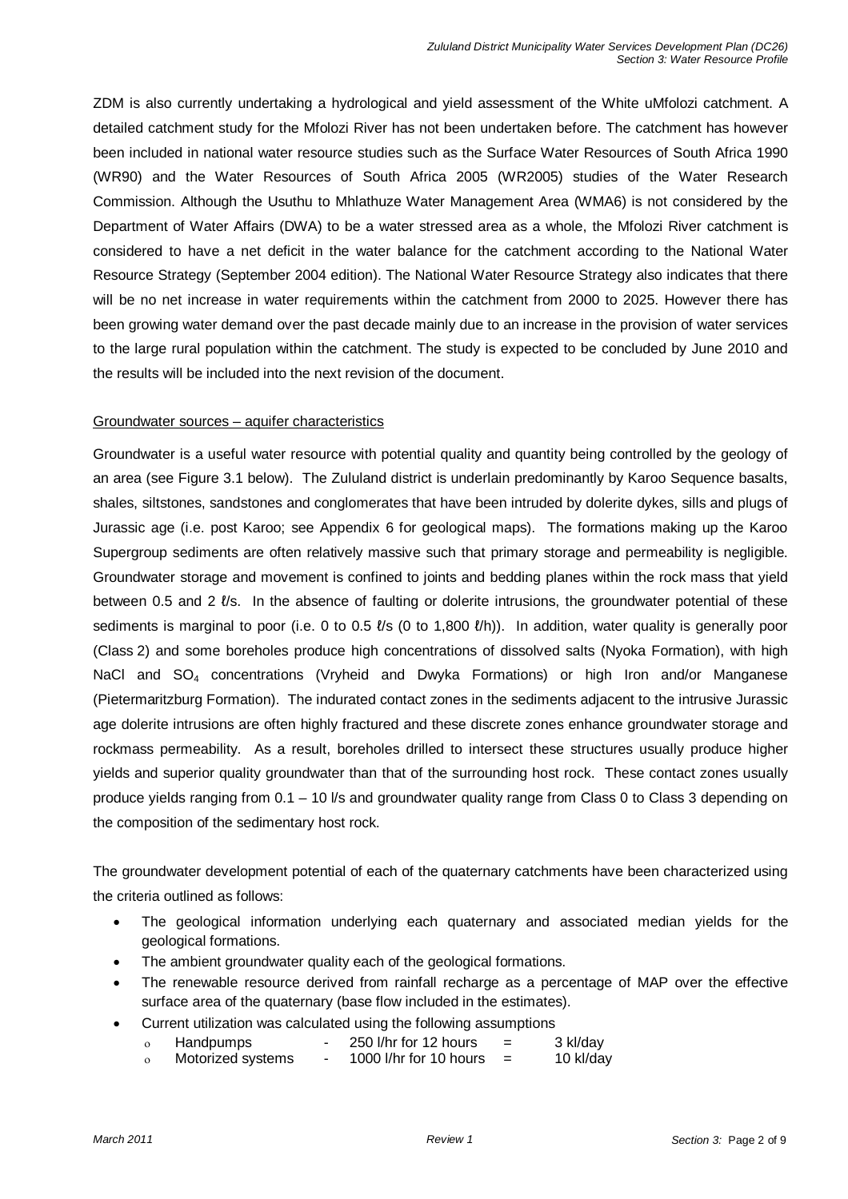ZDM is also currently undertaking a hydrological and yield assessment of the White uMfolozi catchment. A detailed catchment study for the Mfolozi River has not been undertaken before. The catchment has however been included in national water resource studies such as the Surface Water Resources of South Africa 1990 (WR90) and the Water Resources of South Africa 2005 (WR2005) studies of the Water Research Commission. Although the Usuthu to Mhlathuze Water Management Area (WMA6) is not considered by the Department of Water Affairs (DWA) to be a water stressed area as a whole, the Mfolozi River catchment is considered to have a net deficit in the water balance for the catchment according to the National Water Resource Strategy (September 2004 edition). The National Water Resource Strategy also indicates that there will be no net increase in water requirements within the catchment from 2000 to 2025. However there has been growing water demand over the past decade mainly due to an increase in the provision of water services to the large rural population within the catchment. The study is expected to be concluded by June 2010 and the results will be included into the next revision of the document.

### Groundwater sources – aquifer characteristics

Groundwater is a useful water resource with potential quality and quantity being controlled by the geology of an area (see Figure 3.1 below). The Zululand district is underlain predominantly by Karoo Sequence basalts, shales, siltstones, sandstones and conglomerates that have been intruded by dolerite dykes, sills and plugs of Jurassic age (i.e. post Karoo; see Appendix 6 for geological maps). The formations making up the Karoo Supergroup sediments are often relatively massive such that primary storage and permeability is negligible. Groundwater storage and movement is confined to joints and bedding planes within the rock mass that yield between 0.5 and 2  $\ell$ /s. In the absence of faulting or dolerite intrusions, the groundwater potential of these sediments is marginal to poor (i.e. 0 to 0.5  $\ell$ 's (0 to 1,800  $\ell$ /h)). In addition, water quality is generally poor (Class 2) and some boreholes produce high concentrations of dissolved salts (Nyoka Formation), with high NaCl and SO<sub>4</sub> concentrations (Vryheid and Dwyka Formations) or high Iron and/or Manganese (Pietermaritzburg Formation). The indurated contact zones in the sediments adjacent to the intrusive Jurassic age dolerite intrusions are often highly fractured and these discrete zones enhance groundwater storage and rockmass permeability. As a result, boreholes drilled to intersect these structures usually produce higher yields and superior quality groundwater than that of the surrounding host rock. These contact zones usually produce yields ranging from 0.1 – 10 l/s and groundwater quality range from Class 0 to Class 3 depending on the composition of the sedimentary host rock.

The groundwater development potential of each of the quaternary catchments have been characterized using the criteria outlined as follows:

- The geological information underlying each quaternary and associated median yields for the geological formations.
- The ambient groundwater quality each of the geological formations.
- The renewable resource derived from rainfall recharge as a percentage of MAP over the effective surface area of the quaternary (base flow included in the estimates).
- Current utilization was calculated using the following assumptions
	- $o$  Handpumps 250 l/hr for 12 hours = 3 kl/day
	- ο Motorized systems 1000 l/hr for 10 hours = 10 kl/day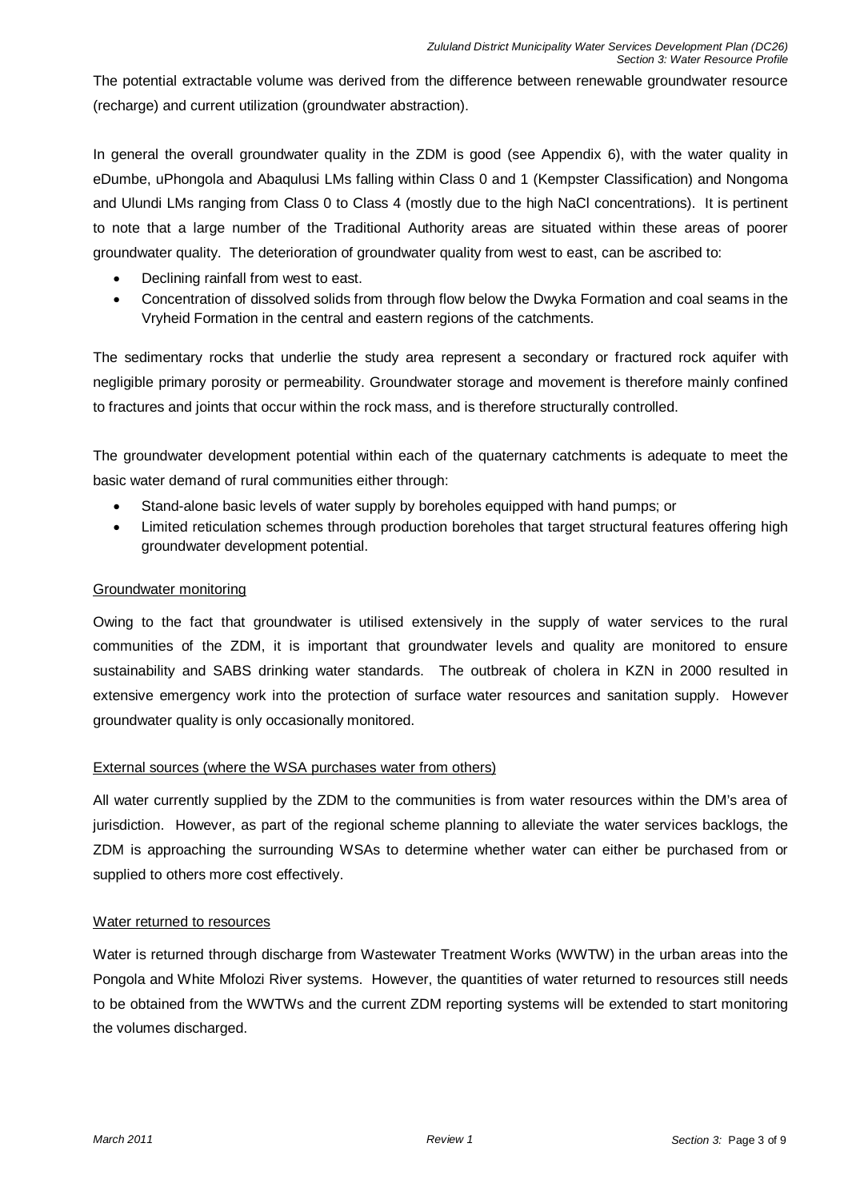The potential extractable volume was derived from the difference between renewable groundwater resource (recharge) and current utilization (groundwater abstraction).

In general the overall groundwater quality in the ZDM is good (see Appendix 6), with the water quality in eDumbe, uPhongola and Abaqulusi LMs falling within Class 0 and 1 (Kempster Classification) and Nongoma and Ulundi LMs ranging from Class 0 to Class 4 (mostly due to the high NaCl concentrations). It is pertinent to note that a large number of the Traditional Authority areas are situated within these areas of poorer groundwater quality. The deterioration of groundwater quality from west to east, can be ascribed to:

- Declining rainfall from west to east.
- Concentration of dissolved solids from through flow below the Dwyka Formation and coal seams in the Vryheid Formation in the central and eastern regions of the catchments.

The sedimentary rocks that underlie the study area represent a secondary or fractured rock aquifer with negligible primary porosity or permeability. Groundwater storage and movement is therefore mainly confined to fractures and joints that occur within the rock mass, and is therefore structurally controlled.

The groundwater development potential within each of the quaternary catchments is adequate to meet the basic water demand of rural communities either through:

- Stand-alone basic levels of water supply by boreholes equipped with hand pumps; or
- Limited reticulation schemes through production boreholes that target structural features offering high groundwater development potential.

### Groundwater monitoring

Owing to the fact that groundwater is utilised extensively in the supply of water services to the rural communities of the ZDM, it is important that groundwater levels and quality are monitored to ensure sustainability and SABS drinking water standards. The outbreak of cholera in KZN in 2000 resulted in extensive emergency work into the protection of surface water resources and sanitation supply. However groundwater quality is only occasionally monitored.

### External sources (where the WSA purchases water from others)

All water currently supplied by the ZDM to the communities is from water resources within the DM's area of jurisdiction. However, as part of the regional scheme planning to alleviate the water services backlogs, the ZDM is approaching the surrounding WSAs to determine whether water can either be purchased from or supplied to others more cost effectively.

### Water returned to resources

Water is returned through discharge from Wastewater Treatment Works (WWTW) in the urban areas into the Pongola and White Mfolozi River systems. However, the quantities of water returned to resources still needs to be obtained from the WWTWs and the current ZDM reporting systems will be extended to start monitoring the volumes discharged.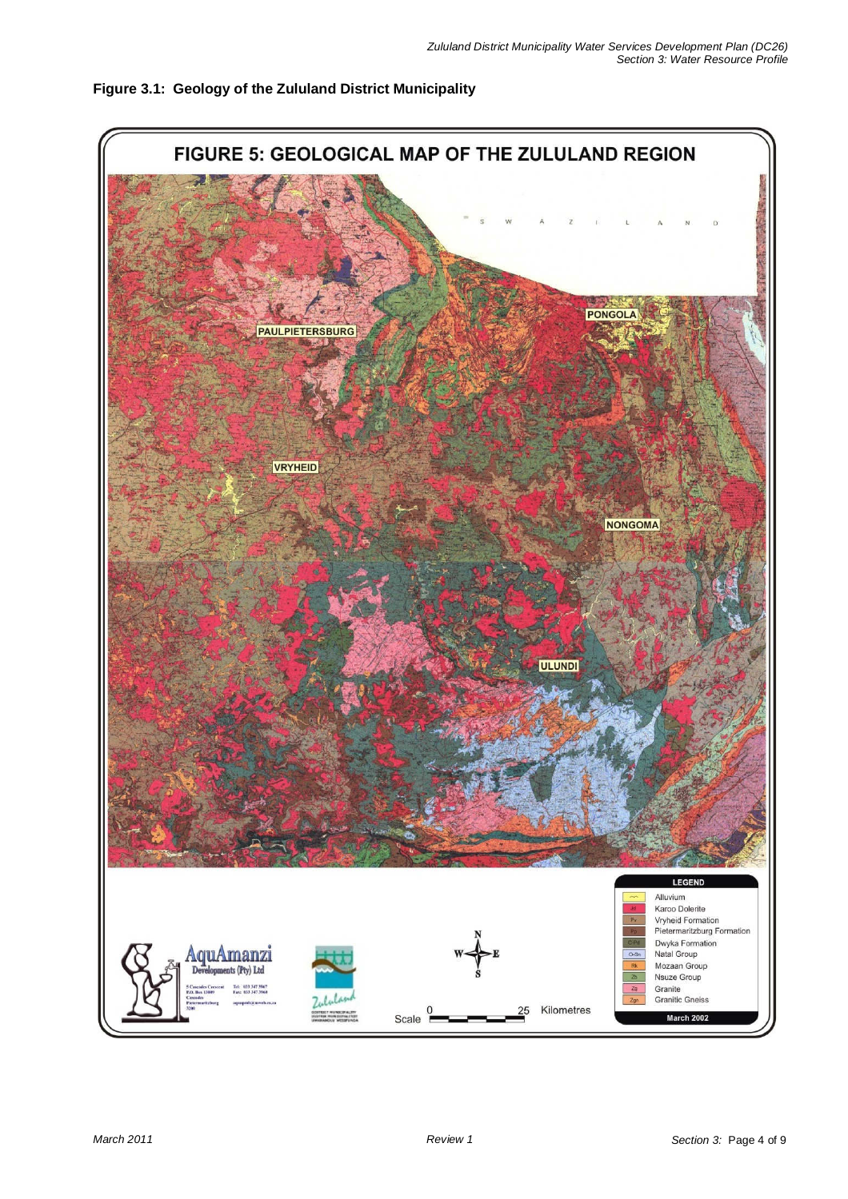

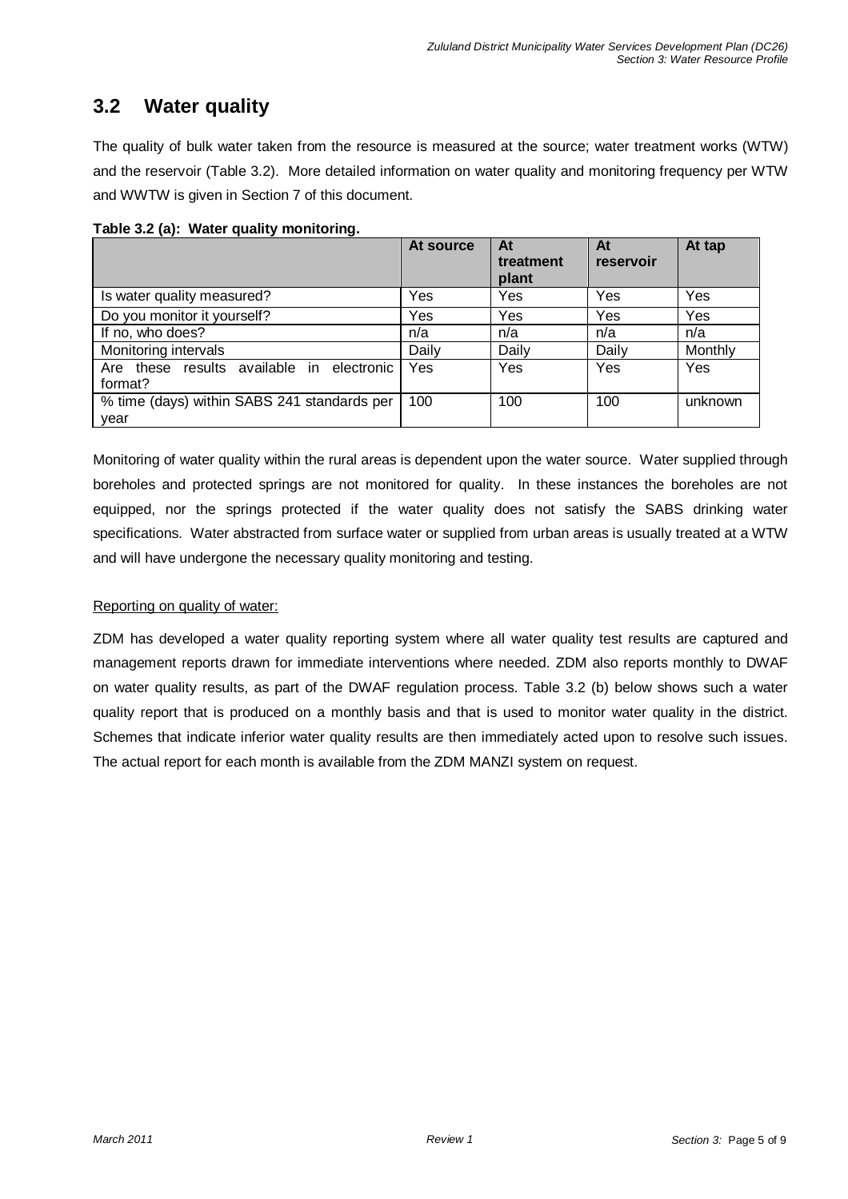# **3.2 Water quality**

The quality of bulk water taken from the resource is measured at the source; water treatment works (WTW) and the reservoir (Table 3.2). More detailed information on water quality and monitoring frequency per WTW and WWTW is given in Section 7 of this document.

**Table 3.2 (a): Water quality monitoring.** 

|                                                      | At source | At<br>treatment<br>plant | At<br>reservoir | At tap  |
|------------------------------------------------------|-----------|--------------------------|-----------------|---------|
| Is water quality measured?                           | Yes       | Yes                      | Yes             | Yes     |
| Do you monitor it yourself?                          | Yes       | Yes                      | Yes             | Yes     |
| If no, who does?                                     | n/a       | n/a                      | n/a             | n/a     |
| Monitoring intervals                                 | Daily     | Daily                    | Daily           | Monthly |
| Are these results available in electronic<br>format? | Yes       | Yes                      | Yes             | Yes     |
| % time (days) within SABS 241 standards per<br>year  | 100       | 100                      | 100             | unknown |

Monitoring of water quality within the rural areas is dependent upon the water source. Water supplied through boreholes and protected springs are not monitored for quality. In these instances the boreholes are not equipped, nor the springs protected if the water quality does not satisfy the SABS drinking water specifications. Water abstracted from surface water or supplied from urban areas is usually treated at a WTW and will have undergone the necessary quality monitoring and testing.

# Reporting on quality of water:

ZDM has developed a water quality reporting system where all water quality test results are captured and management reports drawn for immediate interventions where needed. ZDM also reports monthly to DWAF on water quality results, as part of the DWAF regulation process. Table 3.2 (b) below shows such a water quality report that is produced on a monthly basis and that is used to monitor water quality in the district. Schemes that indicate inferior water quality results are then immediately acted upon to resolve such issues. The actual report for each month is available from the ZDM MANZI system on request.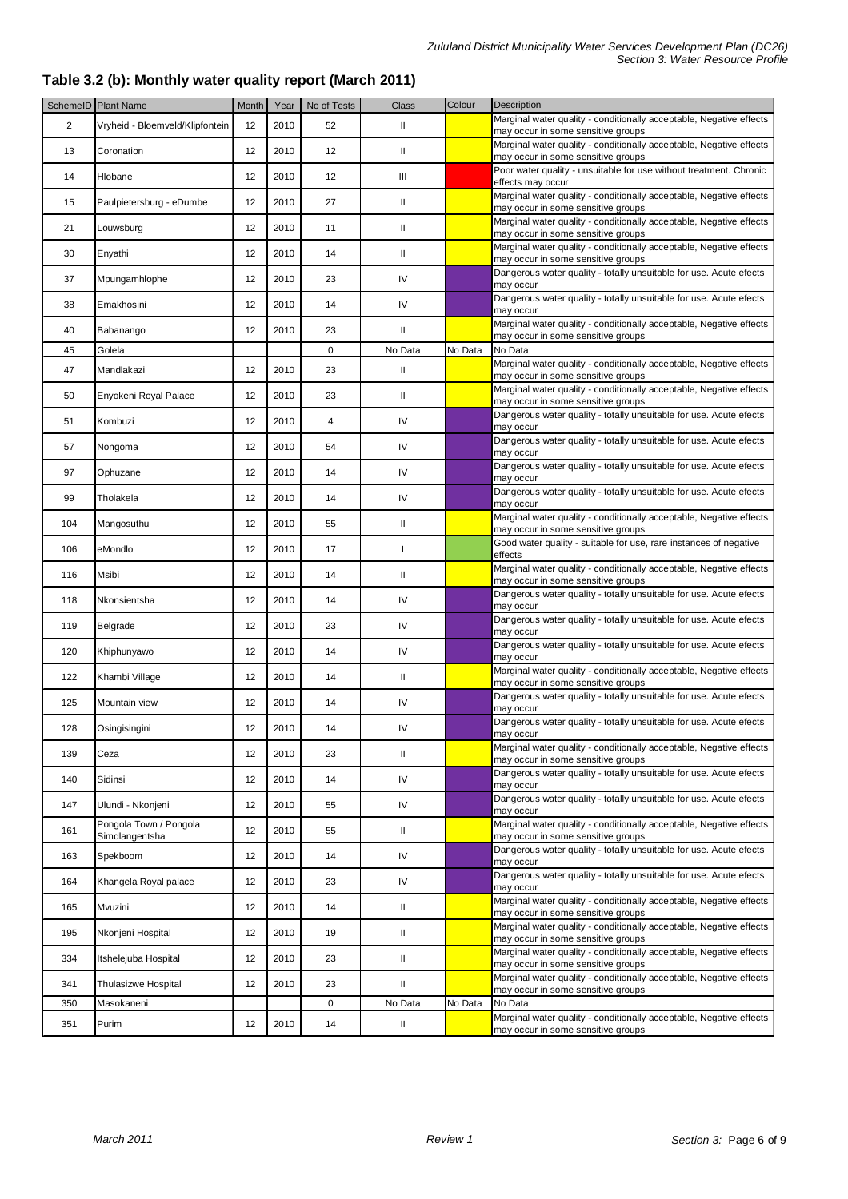## **Table 3.2 (b): Monthly water quality report (March 2011)**

|     | SchemelD Plant Name                      | Month | Year | No of Tests | Class         | Colour  | Description                                                                                               |
|-----|------------------------------------------|-------|------|-------------|---------------|---------|-----------------------------------------------------------------------------------------------------------|
| 2   | Vryheid - Bloemveld/Klipfontein          | 12    | 2010 | 52          | Ш             |         | Marginal water quality - conditionally acceptable, Negative effects<br>may occur in some sensitive groups |
| 13  | Coronation                               | 12    | 2010 | 12          | II            |         | Marginal water quality - conditionally acceptable, Negative effects<br>may occur in some sensitive groups |
| 14  | Hlobane                                  | 12    | 2010 | 12          | Ш             |         | Poor water quality - unsuitable for use without treatment. Chronic<br>effects may occur                   |
| 15  | Paulpietersburg - eDumbe                 | 12    | 2010 | 27          | Ш             |         | Marginal water quality - conditionally acceptable, Negative effects<br>may occur in some sensitive groups |
| 21  | Louwsburg                                | 12    | 2010 | 11          | Ш             |         | Marginal water quality - conditionally acceptable, Negative effects<br>may occur in some sensitive groups |
| 30  | Enyathi                                  | 12    | 2010 | 14          | Ш             |         | Marginal water quality - conditionally acceptable, Negative effects<br>may occur in some sensitive groups |
| 37  | Mpungamhlophe                            | 12    | 2010 | 23          | IV            |         | Dangerous water quality - totally unsuitable for use. Acute efects<br>may occur                           |
| 38  | Emakhosini                               | 12    | 2010 | 14          | IV            |         | Dangerous water quality - totally unsuitable for use. Acute efects<br>may occur                           |
| 40  | Babanango                                | 12    | 2010 | 23          | Ш             |         | Marginal water quality - conditionally acceptable, Negative effects<br>may occur in some sensitive groups |
| 45  | Golela                                   |       |      | $\mathbf 0$ | No Data       | No Data | No Data                                                                                                   |
| 47  | Mandlakazi                               | 12    | 2010 | 23          | Ш             |         | Marginal water quality - conditionally acceptable, Negative effects<br>may occur in some sensitive groups |
| 50  | Enyokeni Royal Palace                    | 12    | 2010 | 23          | Ш             |         | Marginal water quality - conditionally acceptable, Negative effects<br>may occur in some sensitive groups |
| 51  | Kombuzi                                  | 12    | 2010 | 4           | IV            |         | Dangerous water quality - totally unsuitable for use. Acute efects<br>may occur                           |
| 57  | Nongoma                                  | 12    | 2010 | 54          | IV            |         | Dangerous water quality - totally unsuitable for use. Acute efects<br>may occur                           |
| 97  | Ophuzane                                 | 12    | 2010 | 14          | IV            |         | Dangerous water quality - totally unsuitable for use. Acute efects<br>may occur                           |
| 99  | Tholakela                                | 12    | 2010 | 14          | IV            |         | Dangerous water quality - totally unsuitable for use. Acute efects<br>may occur                           |
| 104 | Mangosuthu                               | 12    | 2010 | 55          | Ш             |         | Marginal water quality - conditionally acceptable, Negative effects<br>may occur in some sensitive groups |
| 106 | eMondlo                                  | 12    | 2010 | 17          | $\mathbf{I}$  |         | Good water quality - suitable for use, rare instances of negative<br>effects                              |
| 116 | Msibi                                    | 12    | 2010 | 14          | Ш             |         | Marginal water quality - conditionally acceptable, Negative effects<br>may occur in some sensitive groups |
| 118 | Nkonsientsha                             | 12    | 2010 | 14          | IV            |         | Dangerous water quality - totally unsuitable for use. Acute efects<br>may occur                           |
| 119 | Belgrade                                 | 12    | 2010 | 23          | IV            |         | Dangerous water quality - totally unsuitable for use. Acute efects<br>may occur                           |
| 120 | Khiphunyawo                              | 12    | 2010 | 14          | IV            |         | Dangerous water quality - totally unsuitable for use. Acute efects<br>may occur                           |
| 122 | Khambi Village                           | 12    | 2010 | 14          | Ш             |         | Marginal water quality - conditionally acceptable, Negative effects<br>may occur in some sensitive groups |
| 125 | Mountain view                            | 12    | 2010 | 14          | IV            |         | Dangerous water quality - totally unsuitable for use. Acute efects<br>may occur                           |
| 128 | Osingisingini                            | 12    | 2010 | 14          | IV            |         | Dangerous water quality - totally unsuitable for use. Acute efects<br>may occur                           |
| 139 | Ceza                                     | 12    | 2010 | 23          | $\mathbf{II}$ |         | Marginal water quality - conditionally acceptable, Negative effects<br>may occur in some sensitive groups |
| 140 | Sidinsi                                  | 12    | 2010 | 14          | ${\sf IV}$    |         | Dangerous water quality - totally unsuitable for use. Acute efects<br>may occur                           |
| 147 | Ulundi - Nkonjeni                        | 12    | 2010 | 55          | IV            |         | Dangerous water quality - totally unsuitable for use. Acute efects<br>may occur                           |
| 161 | Pongola Town / Pongola<br>Simdlangentsha | 12    | 2010 | 55          | Ш             |         | Marginal water quality - conditionally acceptable, Negative effects<br>may occur in some sensitive groups |
| 163 | Spekboom                                 | 12    | 2010 | 14          | IV            |         | Dangerous water quality - totally unsuitable for use. Acute efects<br>may occur                           |
| 164 | Khangela Royal palace                    | 12    | 2010 | 23          | IV            |         | Dangerous water quality - totally unsuitable for use. Acute efects<br>may occur                           |
| 165 | Mvuzini                                  | 12    | 2010 | 14          | Ш             |         | Marginal water quality - conditionally acceptable, Negative effects<br>may occur in some sensitive groups |
| 195 | Nkonjeni Hospital                        | 12    | 2010 | 19          | Ш             |         | Marginal water quality - conditionally acceptable, Negative effects<br>may occur in some sensitive groups |
| 334 | Itshelejuba Hospital                     | 12    | 2010 | 23          | Ш             |         | Marginal water quality - conditionally acceptable, Negative effects<br>may occur in some sensitive groups |
| 341 | Thulasizwe Hospital                      | 12    | 2010 | 23          | Ш             |         | Marginal water quality - conditionally acceptable, Negative effects<br>may occur in some sensitive groups |
| 350 | Masokaneni                               |       |      | $\mathbf 0$ | No Data       | No Data | No Data                                                                                                   |
| 351 | Purim                                    | 12    | 2010 | 14          | Ш             |         | Marginal water quality - conditionally acceptable, Negative effects<br>may occur in some sensitive groups |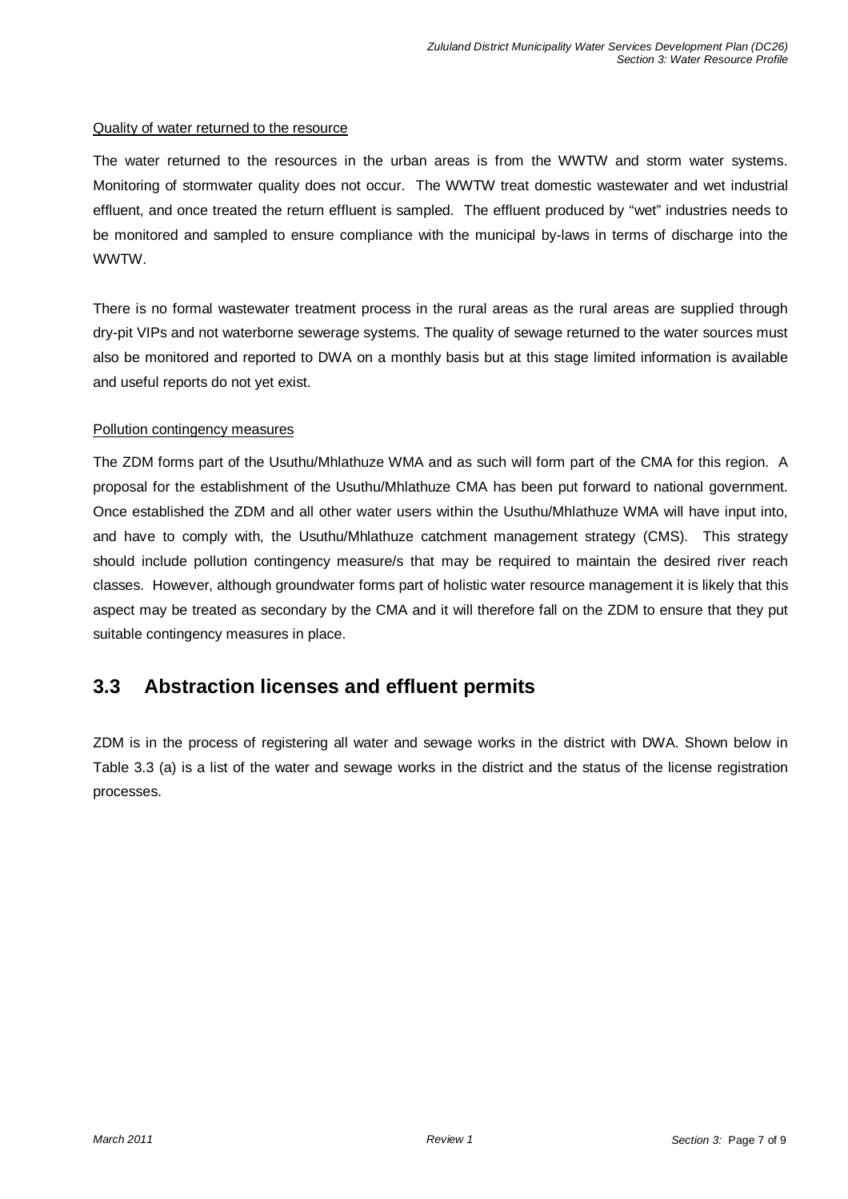#### Quality of water returned to the resource

The water returned to the resources in the urban areas is from the WWTW and storm water systems. Monitoring of stormwater quality does not occur. The WWTW treat domestic wastewater and wet industrial effluent, and once treated the return effluent is sampled. The effluent produced by "wet" industries needs to be monitored and sampled to ensure compliance with the municipal by-laws in terms of discharge into the WWTW.

There is no formal wastewater treatment process in the rural areas as the rural areas are supplied through dry-pit VIPs and not waterborne sewerage systems. The quality of sewage returned to the water sources must also be monitored and reported to DWA on a monthly basis but at this stage limited information is available and useful reports do not yet exist.

### Pollution contingency measures

The ZDM forms part of the Usuthu/Mhlathuze WMA and as such will form part of the CMA for this region. A proposal for the establishment of the Usuthu/Mhlathuze CMA has been put forward to national government. Once established the ZDM and all other water users within the Usuthu/Mhlathuze WMA will have input into, and have to comply with, the Usuthu/Mhlathuze catchment management strategy (CMS). This strategy should include pollution contingency measure/s that may be required to maintain the desired river reach classes. However, although groundwater forms part of holistic water resource management it is likely that this aspect may be treated as secondary by the CMA and it will therefore fall on the ZDM to ensure that they put suitable contingency measures in place.

# **3.3 Abstraction licenses and effluent permits**

ZDM is in the process of registering all water and sewage works in the district with DWA. Shown below in Table 3.3 (a) is a list of the water and sewage works in the district and the status of the license registration processes.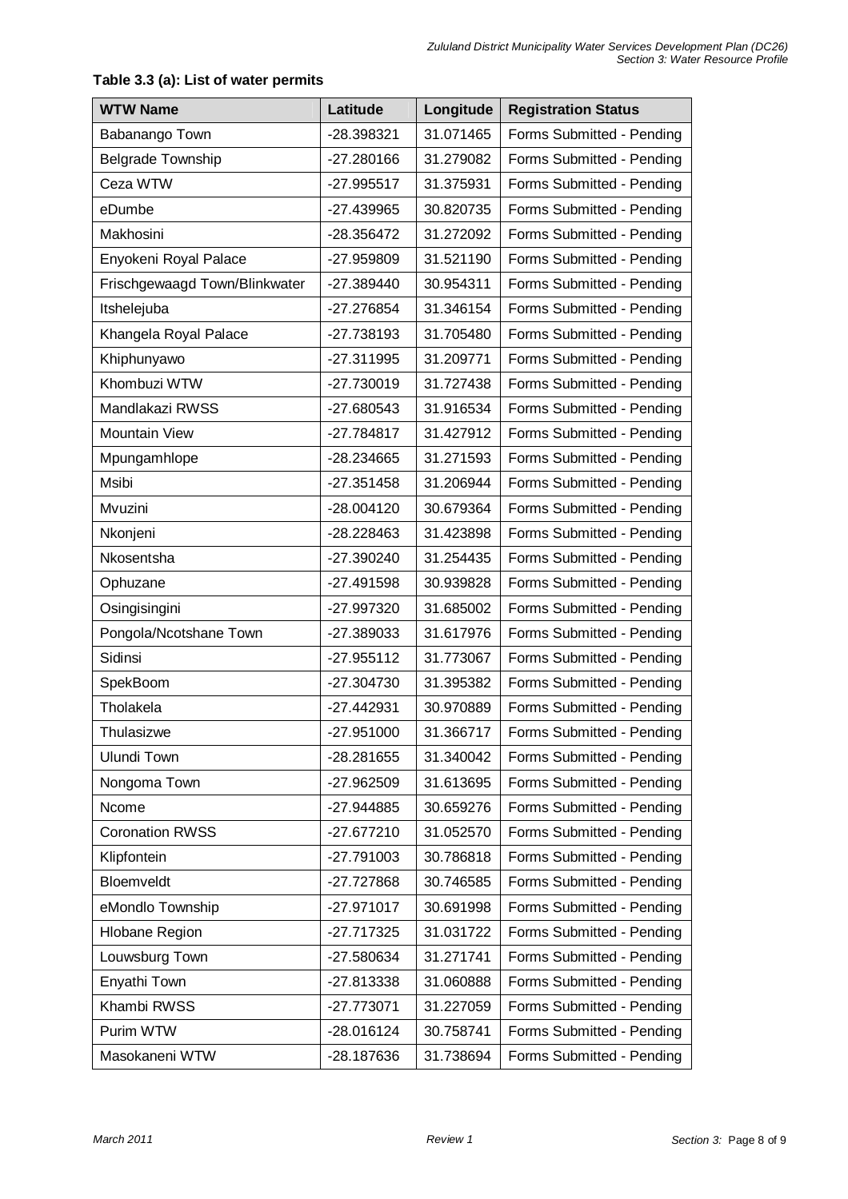| <b>WTW Name</b>               | Latitude     | Longitude | <b>Registration Status</b> |  |
|-------------------------------|--------------|-----------|----------------------------|--|
| Babanango Town                | -28.398321   | 31.071465 | Forms Submitted - Pending  |  |
| <b>Belgrade Township</b>      | $-27.280166$ | 31.279082 | Forms Submitted - Pending  |  |
| Ceza WTW                      | $-27.995517$ | 31.375931 | Forms Submitted - Pending  |  |
| eDumbe                        | -27.439965   | 30.820735 | Forms Submitted - Pending  |  |
| Makhosini                     | -28.356472   | 31.272092 | Forms Submitted - Pending  |  |
| Enyokeni Royal Palace         | -27.959809   | 31.521190 | Forms Submitted - Pending  |  |
| Frischgewaagd Town/Blinkwater | -27.389440   | 30.954311 | Forms Submitted - Pending  |  |
| Itshelejuba                   | -27.276854   | 31.346154 | Forms Submitted - Pending  |  |
| Khangela Royal Palace         | -27.738193   | 31.705480 | Forms Submitted - Pending  |  |
| Khiphunyawo                   | -27.311995   | 31.209771 | Forms Submitted - Pending  |  |
| Khombuzi WTW                  | -27.730019   | 31.727438 | Forms Submitted - Pending  |  |
| Mandlakazi RWSS               | -27.680543   | 31.916534 | Forms Submitted - Pending  |  |
| <b>Mountain View</b>          | -27.784817   | 31.427912 | Forms Submitted - Pending  |  |
| Mpungamhlope                  | -28.234665   | 31.271593 | Forms Submitted - Pending  |  |
| Msibi                         | $-27.351458$ | 31.206944 | Forms Submitted - Pending  |  |
| Mvuzini                       | $-28.004120$ | 30.679364 | Forms Submitted - Pending  |  |
| Nkonjeni                      | -28.228463   | 31.423898 | Forms Submitted - Pending  |  |
| Nkosentsha                    | -27.390240   | 31.254435 | Forms Submitted - Pending  |  |
| Ophuzane                      | $-27.491598$ | 30.939828 | Forms Submitted - Pending  |  |
| Osingisingini                 | -27.997320   | 31.685002 | Forms Submitted - Pending  |  |
| Pongola/Ncotshane Town        | -27.389033   | 31.617976 | Forms Submitted - Pending  |  |
| Sidinsi                       | $-27.955112$ | 31.773067 | Forms Submitted - Pending  |  |
| SpekBoom                      | $-27.304730$ | 31.395382 | Forms Submitted - Pending  |  |
| Tholakela                     | $-27.442931$ | 30.970889 | Forms Submitted - Pending  |  |
| Thulasizwe                    | -27.951000   | 31.366717 | Forms Submitted - Pending  |  |
| Ulundi Town                   | -28.281655   | 31.340042 | Forms Submitted - Pending  |  |
| Nongoma Town                  | -27.962509   | 31.613695 | Forms Submitted - Pending  |  |
| Ncome                         | -27.944885   | 30.659276 | Forms Submitted - Pending  |  |
| <b>Coronation RWSS</b>        | -27.677210   | 31.052570 | Forms Submitted - Pending  |  |
| Klipfontein                   | -27.791003   | 30.786818 | Forms Submitted - Pending  |  |
| Bloemveldt                    | -27.727868   | 30.746585 | Forms Submitted - Pending  |  |
| eMondlo Township              | $-27.971017$ | 30.691998 | Forms Submitted - Pending  |  |
| <b>Hlobane Region</b>         | -27.717325   | 31.031722 | Forms Submitted - Pending  |  |
| Louwsburg Town                | -27.580634   | 31.271741 | Forms Submitted - Pending  |  |
| Enyathi Town                  | -27.813338   | 31.060888 | Forms Submitted - Pending  |  |
| Khambi RWSS                   | $-27.773071$ | 31.227059 | Forms Submitted - Pending  |  |
| Purim WTW                     | -28.016124   | 30.758741 | Forms Submitted - Pending  |  |
| Masokaneni WTW                | -28.187636   | 31.738694 | Forms Submitted - Pending  |  |

# **Table 3.3 (a): List of water permits**